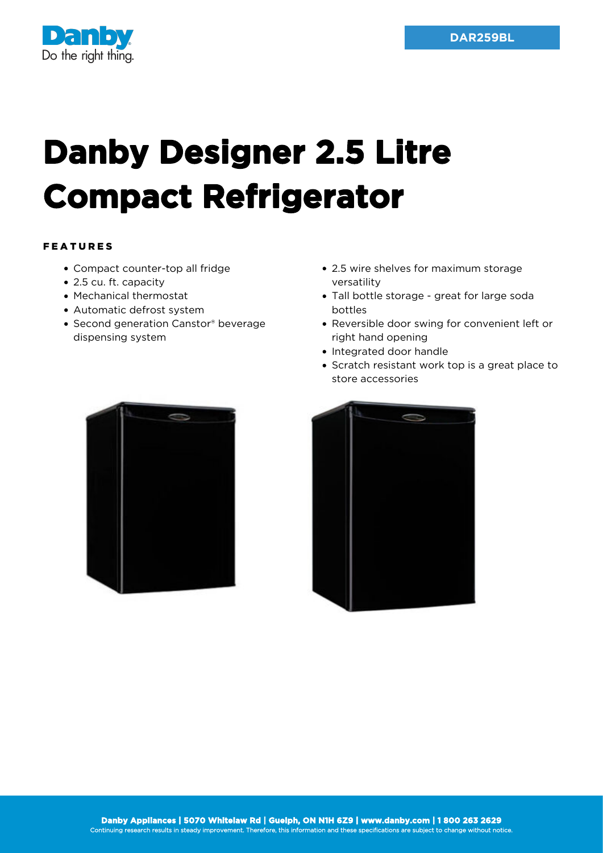

## **Danby Designer 2.5 Litre Compact Refrigerator**

## FEATURES

- Compact counter-top all fridge
- 2.5 cu. ft. capacity
- Mechanical thermostat
- Automatic defrost system
- Second generation Canstor® beverage dispensing system
- 2.5 wire shelves for maximum storage versatility
- Tall bottle storage great for large soda bottles
- Reversible door swing for convenient left or right hand opening
- Integrated door handle
- Scratch resistant work top is a great place to store accessories